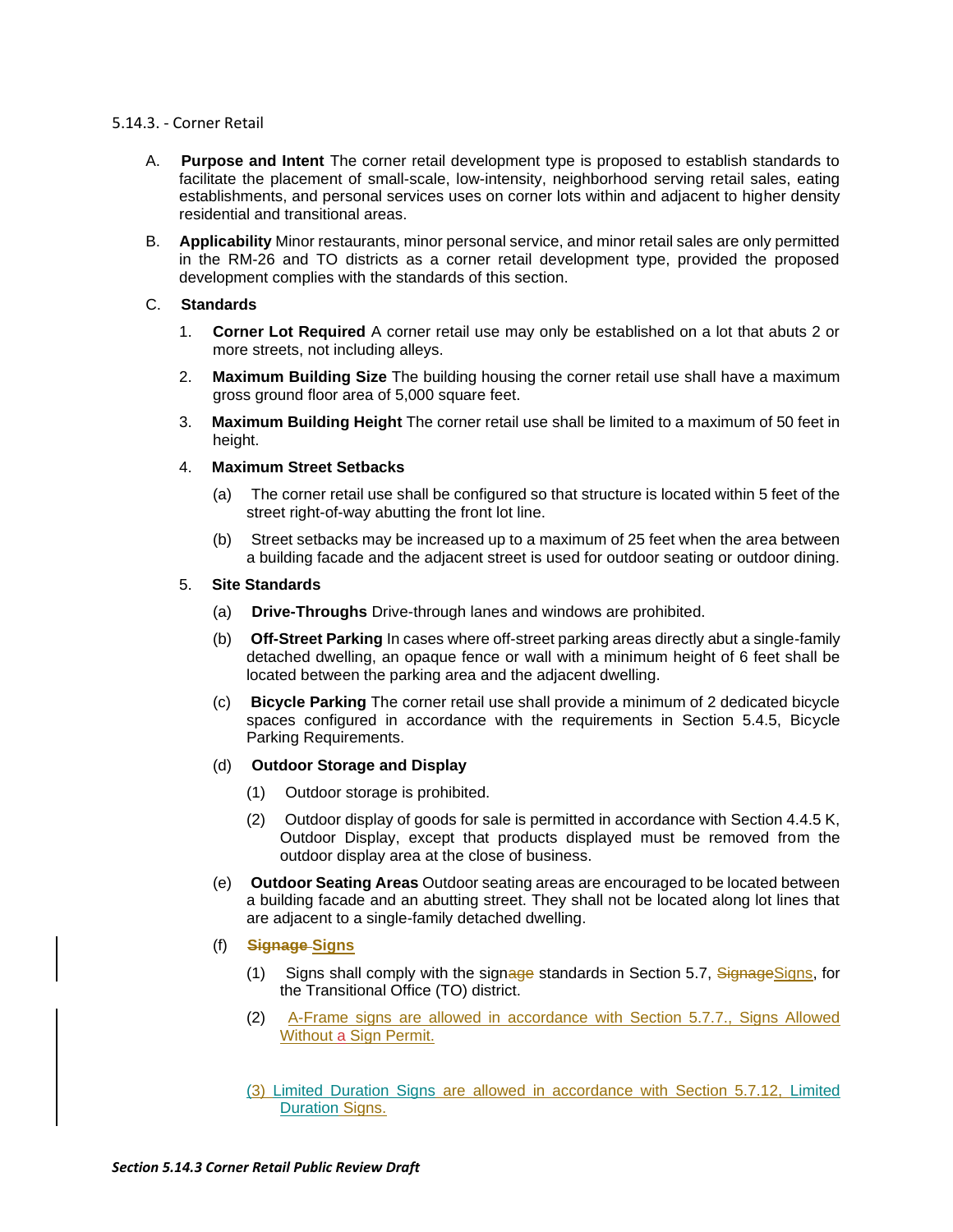## 5.14.3. - Corner Retail

- A. **Purpose and Intent** The corner retail development type is proposed to establish standards to facilitate the placement of small-scale, low-intensity, neighborhood serving retail sales, eating establishments, and personal services uses on corner lots within and adjacent to higher density residential and transitional areas.
- B. **Applicability** Minor restaurants, minor personal service, and minor retail sales are only permitted in the RM-26 and TO districts as a corner retail development type, provided the proposed development complies with the standards of this section.

# C. **Standards**

- 1. **Corner Lot Required** A corner retail use may only be established on a lot that abuts 2 or more streets, not including alleys.
- 2. **Maximum Building Size** The building housing the corner retail use shall have a maximum gross ground floor area of 5,000 square feet.
- 3. **Maximum Building Height** The corner retail use shall be limited to a maximum of 50 feet in height.
- 4. **Maximum Street Setbacks**
	- (a) The corner retail use shall be configured so that structure is located within 5 feet of the street right-of-way abutting the front lot line.
	- (b) Street setbacks may be increased up to a maximum of 25 feet when the area between a building facade and the adjacent street is used for outdoor seating or outdoor dining.

## 5. **Site Standards**

- (a) **Drive-Throughs** Drive-through lanes and windows are prohibited.
- (b) **Off-Street Parking** In cases where off-street parking areas directly abut a single-family detached dwelling, an opaque fence or wall with a minimum height of 6 feet shall be located between the parking area and the adjacent dwelling.
- (c) **Bicycle Parking** The corner retail use shall provide a minimum of 2 dedicated bicycle spaces configured in accordance with the requirements in Section 5.4.5, Bicycle Parking Requirements.
- (d) **Outdoor Storage and Display**
	- (1) Outdoor storage is prohibited.
	- (2) Outdoor display of goods for sale is permitted in accordance with Section 4.4.5 K, Outdoor Display, except that products displayed must be removed from the outdoor display area at the close of business.
- (e) **Outdoor Seating Areas** Outdoor seating areas are encouraged to be located between a building facade and an abutting street. They shall not be located along lot lines that are adjacent to a single-family detached dwelling.
- (f) **Signage Signs**
	- (1) Signs shall comply with the signage standards in Section 5.7, SignageSigns, for the Transitional Office (TO) district.
	- (2) A-Frame signs are allowed in accordance with Section 5.7.7., Signs Allowed Without a Sign Permit.
	- (3) Limited Duration Signs are allowed in accordance with Section 5.7.12, Limited Duration Signs.